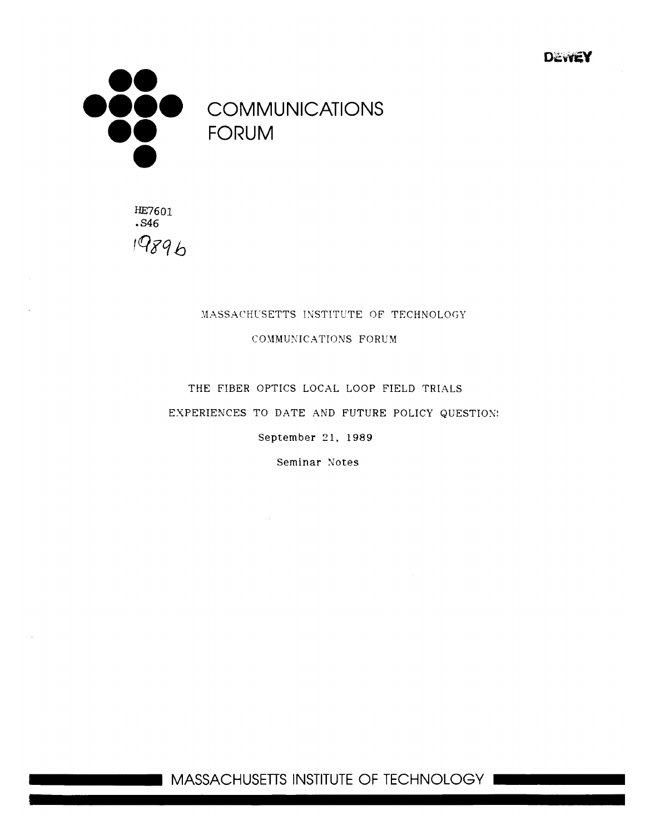**M**



**0000 COMMUNICATIONS**

**HE7601 .S46** 19896

### MASSACHUSETTS INSTITUTE OF TECHNOLOGY COMMUNICATIONS FORUM

## THE FIBER **OPTICS LOCAL** LOOP FIELD TRIALS EXPERIENCES TO DATE AND FUTURE POLICY QUESTION. September **21, 1989**

Seminar Notes

**I MASSACHUSETTS INSTITUTE** OF **TECHNOLOGY**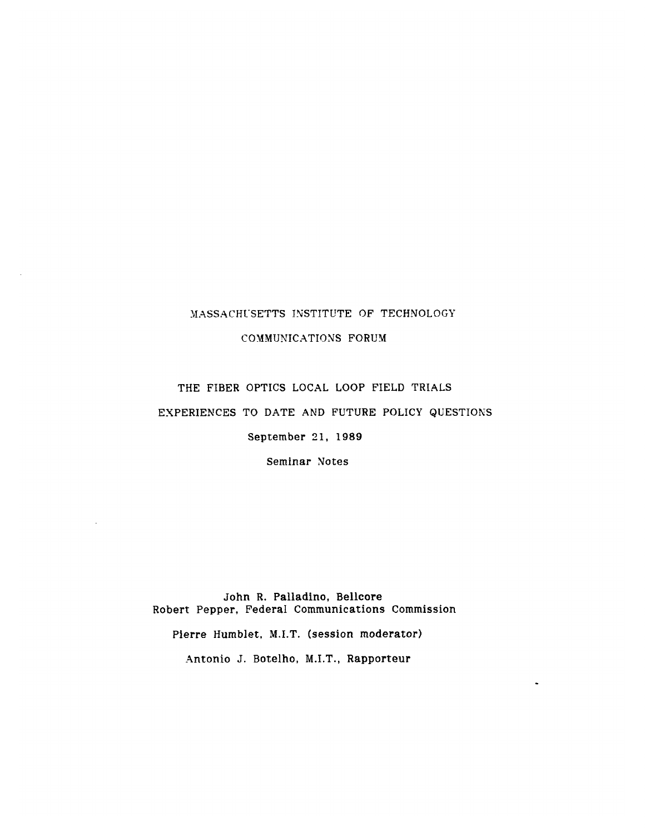### MASSACHUSETTS INSTITUTE OF TECHNOLOGY

COMMUNICATIONS FORUM

## THE FIBER OPTICS LOCAL LOOP FIELD TRIALS EXPERIENCES TO DATE AND FUTURE POLICY QUESTIONS September 21, **1989**

Seminar Notes

John R. Palladino, Bellcore Robert Pepper, Federal Communications Commission

Pierre Humblet, M.I.T. (session moderator)

Antonio J. Botelho, M.I.T., Rapporteur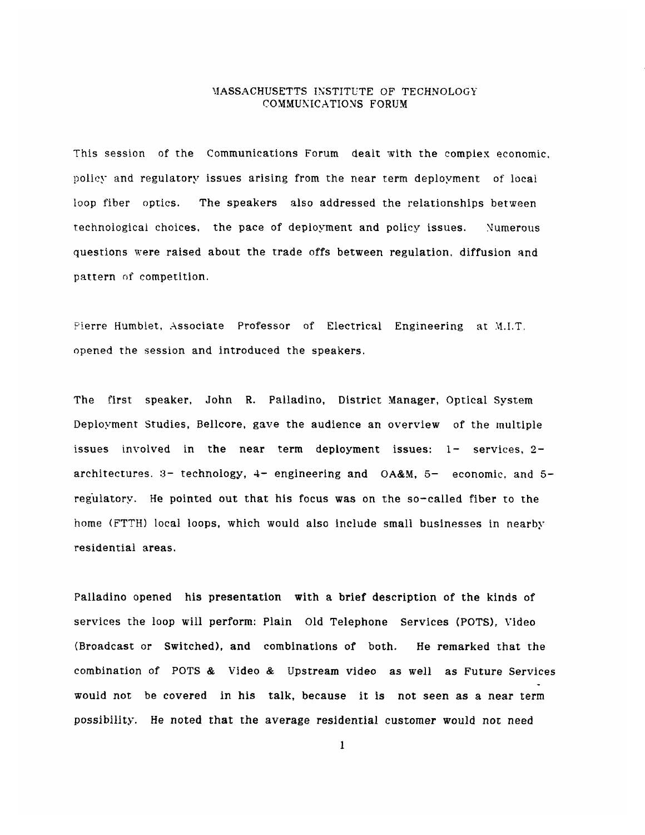This session of the Communications Forum dealt with the complex economic, policy and regulatory issues arising from the near term deployment of local loop fiber optics. The speakers also addressed the relationships between technological choices, the pace of deployment and policy issues. Numerous questions were raised about the trade offs between regulation, diffusion and pattern of competition.

Pierre Humblet, Associate Professor of Electrical Engineering at M.I.T. opened the session and introduced the speakers.

The first speaker, John R. Palladino, District Manager, Optical System Deployment Studies, Bellcore, gave the audience an overview of the multiple issues involved in the near term deployment issues:  $1 -$  services,  $2$ architectures. :3- technology, 4- engineering and OA&M, **5-** economic, and **5** regulatory. He pointed out that his focus was on the so-called fiber to the home (FTTH) local loops, which would also include small businesses in nearby residential areas.

Palladino opened his presentation with a brief description of the kinds of services the loop will perform: Plain Old Telephone Services (POTS), Video (Broadcast or Switched), and combinations of both. He remarked that the combination of POTS & Video & Upstream video as well as Future Services would not be covered in his talk, because it is not seen as a near term possibility. He noted that the average residential customer would not need

 $\mathbf{1}$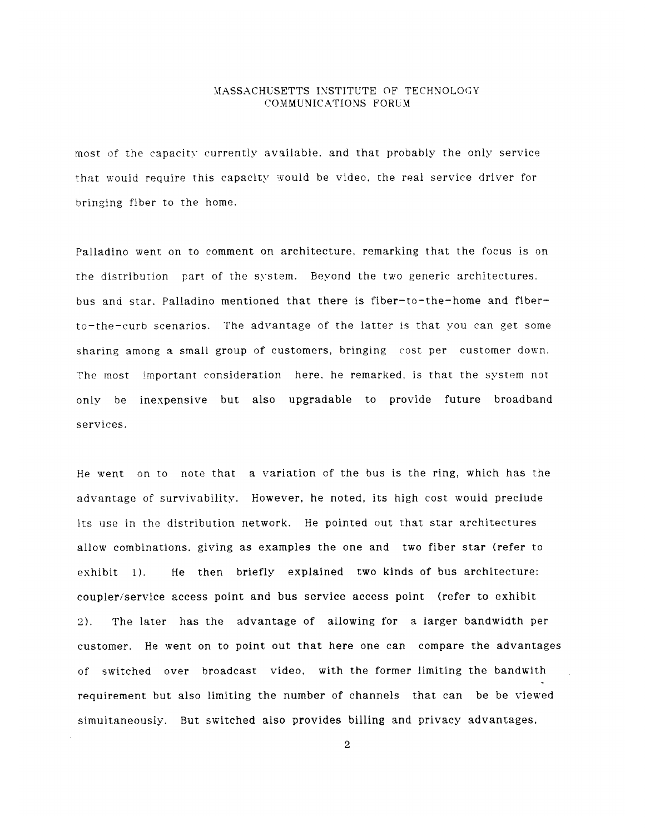most of the capacity currently available, and that probably the only service that would require this capacity would be video, the real service driver for bringing fiber to the home.

Palladino went on to comment on architecture. remarking that the focus is on the distribution part of the system. Beyond the two generic architectures. bus and star. Palladino mentioned that there is fiber-to-the-home and fiberto-the-curb scenarios. The advantage of the latter is that you can get some sharing among a small group of customers, bringing cost per customer down. The most important consideration here. he remarked, is that the system not only be inexpensive but also upgradable to provide future broadband services.

He went on to note that a variation of the bus is the ring, which has the advantage of survivability. However, he noted, its high cost would preclude its use in the distribution network. He pointed out that star architectures allow combinations, giving as examples the one and two fiber star (refer to exhibit **1).** He then briefly explained two kinds of bus architecture: coupler/service access point and bus service access point (refer to exhibit 2). The later has the advantage of allowing for a larger bandwidth per customer. He went on to point out that here one can compare the advantages of switched over broadcast video, with the former limiting the bandwith requirement but also limiting the number of channels that can be be viewed simultaneously. But switched also provides billing and privacy advantages,

 $\overline{2}$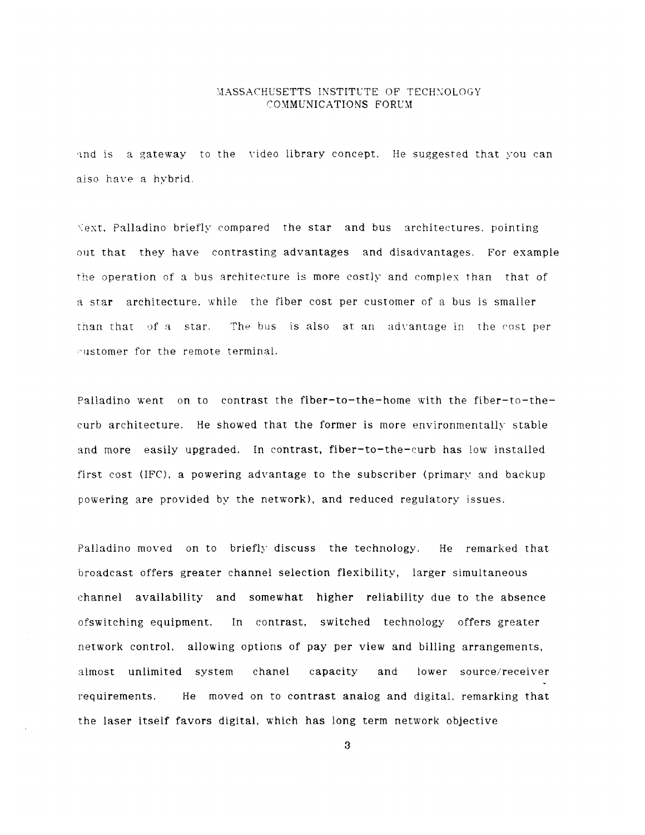**and** is a gateway to the video library concept. He suggested that **you** can also have a hybrid.

\ext. Palladino briefly compared the star and bus architectures. pointing out that they have contrasting advantages and disadvantages. For example **the** operation of a bus architecture is more costly and complex than that of **<sup>a</sup>**star architecture. while the fiber cost per customer of a bus is smaller tnan that **of a** star. **The bus** is also at an advantage in the cost per eustomer for the remote terminal.

Palladino went on to contrast the fiber-to-the-home with the fiber-to-thecurb architecture. He showed that the former is more environmentally stable and more easily upgraded. In contrast, fiber-to-the-curb has low installed first cost (IFC). a powering advantage to the subscriber (primary and backup powering are provided **by** the network), and reduced regulatory issues.

Palladino moved on to briefly discuss the technology. He remarked that broadcast offers greater channel selection flexibility, larger simultaneous channel availability and somewhat higher reliability due to the absence ofswitching equipment. In contrast, switched technology offers greater network control. allowing options of pay per view and billing arrangements, almost unlimited system chanel capacity and lower source/receiver requirements. He moved on to contrast analog and digital, remarking that the laser itself favors digital, which has long term network objective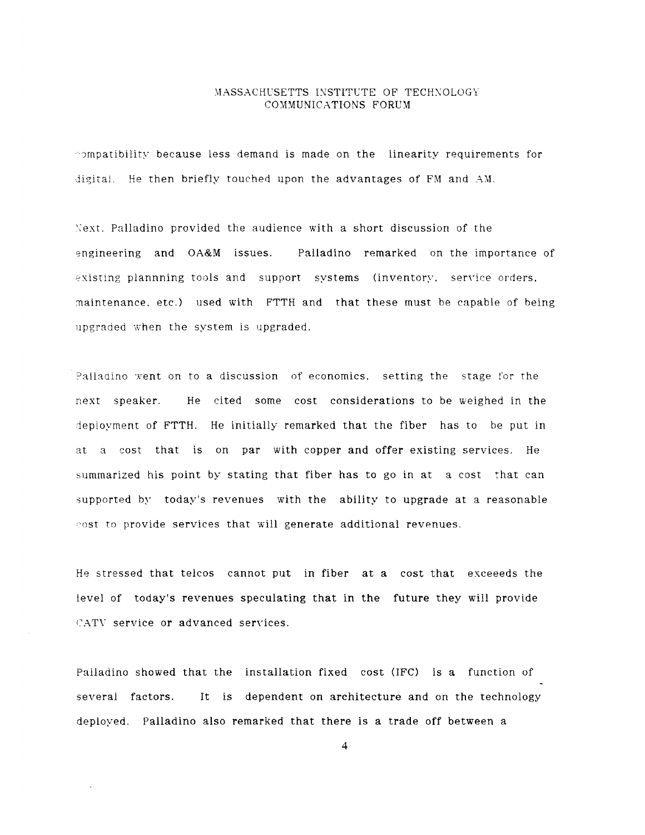:ompatibiliry because less demand is made on the linearity requirements for digital. He then briefly touched upon the advantages of FM and AM.

Next. Palladino provided the audience with a short discussion of the engineering and OA&M issues. Palladino remarked on the importance of existing plannning tools and support systems (inventory, service orders, maintenance. etc.) used with FTTH and that these must be capable of being upgraded when the system is upgraded.

Palladino went on to a discussion of economics, setting the stage for the next speaker. He cited some cost considerations to be weighed in the deployment of FTTH. He initially remarked that the fiber has to be put in at a cost that is on par with copper and offer existing services. He summarized his point by stating that fiber has to go in at a cost that can supported by today's revenues with the ability to upgrade at a reasonable cost to provide services that will generate additional revenues.

He stressed that telcos cannot put in fiber at a cost that exceeeds the level of today's revenues speculating that in the future they will provide CATV service or advanced services.

Palladino showed that the installation fixed cost (IFC) is a function of several factors. It is dependent on architecture and on the technology deployed. Palladino also remarked that there is a trade off between a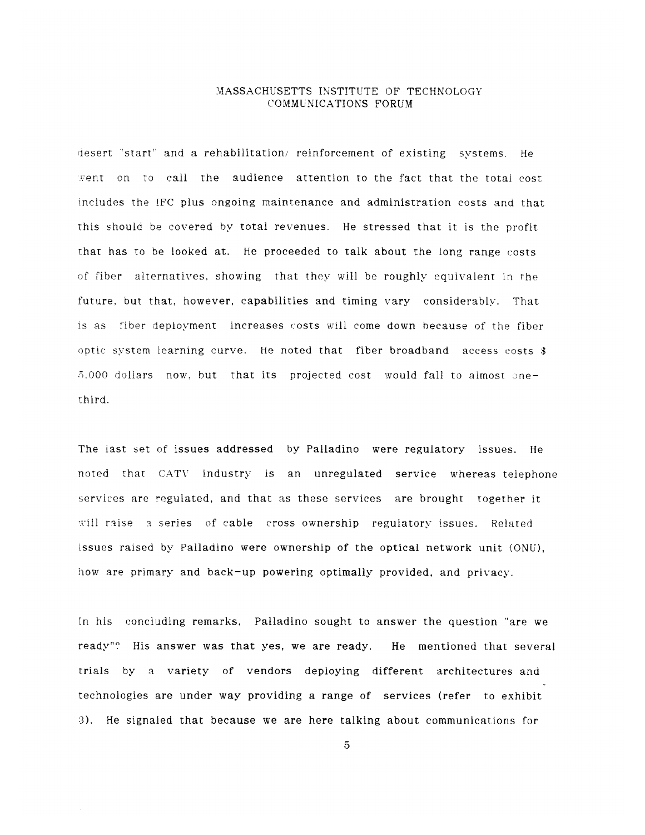desert 'start" and a rehabilitation, reinforcement of existing systems. He vent on to call the audience attention to the fact that the total cost includes the IFC plus ongoing maintenance and administration costs and that this should be covered by total revenues. He stressed that it is the profit that has to be looked at. He proceeded to talk about the long range costs **of** fiber alternatives, showing that they will be roughly equivalent in rthe future, but that, however, capabilities and timing vary considerably. That is as fiber deployment increases costs will come down because of the fiber optic system learning curve. He noted that fiber broadband access costs **\$**  $5.000$  dollars now, but that its projected cost would fall to almost onethird.

The last set of issues addressed by Palladino were regulatory issues. He noted that CATV industry is an unregulated service whereas telephone services are regulated, and that as these services are brought together it will raise a series of cable cross ownership regulatory issues. Related issues raised by Palladino were ownership of the optical network unit (ONU), how are primary and back-up powering optimally provided, and privacy.

In his concluding remarks, Palladino sought to answer the question "are we ready"? His answer was that yes, we are ready. He mentioned that several trials by a variety of vendors deploying different architectures and technologies are under way providing a range of services (refer to exhibit 3). He signaled that because we are here talking about communications for

 $\overline{5}$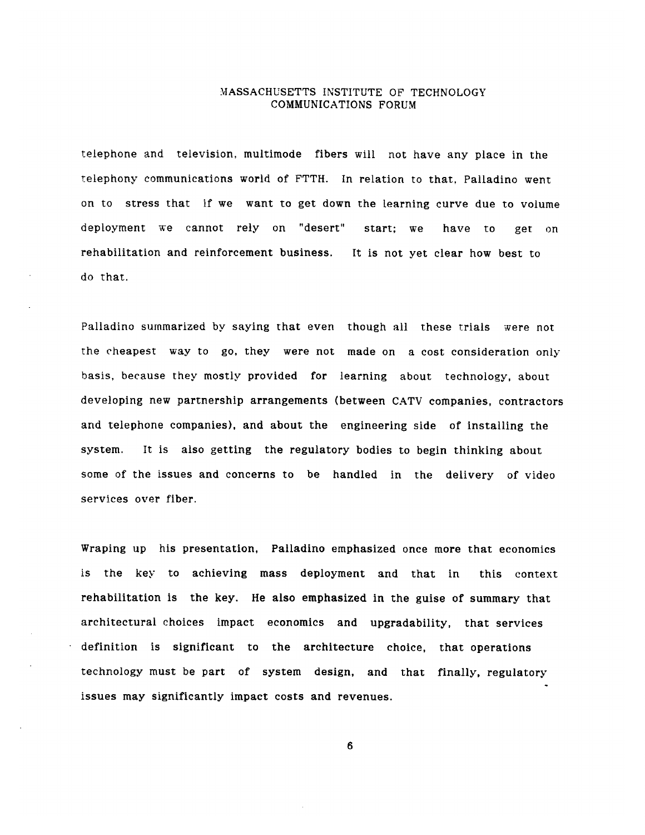telephone and television, multimode fibers will not have any place in the telephony communications world of FTTH. In relation to that, Palladino went on to stress that if we want to get down the learning curve due to volume deployment we cannot rely on "desert" start; we have to get on rehabilitation and reinforcement business. It is not yet clear how best to do that.

Palladino summarized by saying that even though all these trials were not the cheapest way to go, they were not made on a cost consideration only basis, because they mostly provided for learning about technology, about developing new partnership arrangements (between CATV companies, contractors and telephone companies), and about the engineering side of installing the system. It is also getting the regulatory bodies to begin thinking about some of the issues and concerns to be handled in the delivery of video services over fiber.

Wraping up his presentation, Palladino emphasized once more that economics is the key to achieving mass deployment and that in this context rehabilitation is the key. He also emphasized in the guise of summary that architectural choices impact economics and upgradability, that services definition is significant to the architecture choice, that operations technology must be part of system design, and that finally, regulatory issues may significantly impact costs and revenues.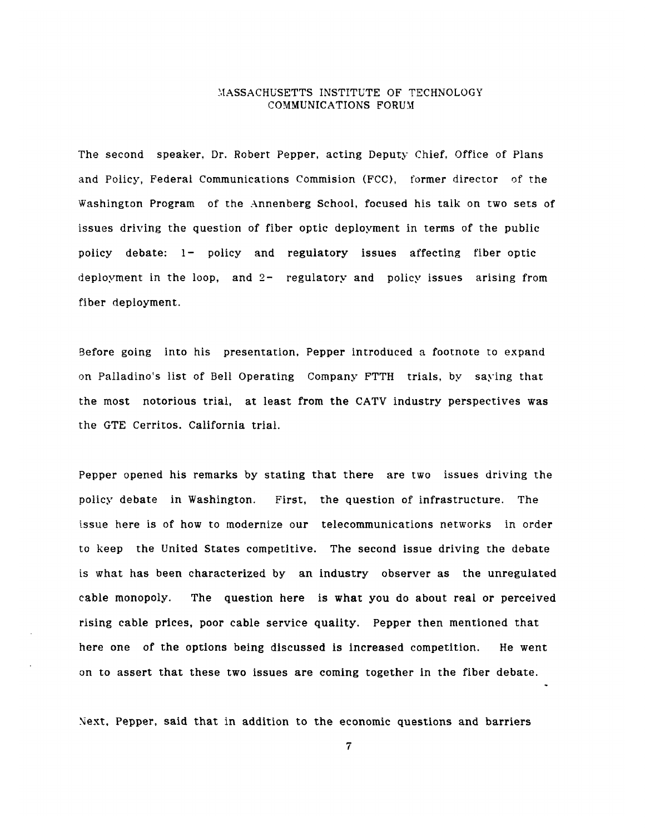The second speaker, Dr. Robert Pepper, acting Deputy Chief, Office of Plans and Policy, Federal Communications Commision (FCC), former director of the Washington Program of the Annenberg School, focused his talk on two sets of issues driving the question of fiber optic deployment in terms of the public policy debate: 1- policy and regulatory issues affecting fiber optic deployment in the loop, and 2- regulatory and policy issues arising from fiber deployment.

Before going into his presentation, Pepper introduced a footnote to expand on Palladino's list of Bell Operating Company FTTH trials, by saying that the most notorious trial, at least from the CATV industry perspectives was the GTE Cerritos. California trial.

Pepper opened his remarks by stating that there are two issues driving the policy debate in Washington. First, the question of infrastructure. The issue here is of how to modernize our telecommunications networks in order to keep the United States competitive. The second issue driving the debate is what has been characterized by an industry observer as the unregulated cable monopoly. The question here is what you do about real or perceived rising cable prices, poor cable service quality. Pepper then mentioned that here one of the options being discussed is increased competition. He went on to assert that these two issues are coming together in the fiber debate.

Next, Pepper, said that in addition to the economic questions and barriers

 $\overline{7}$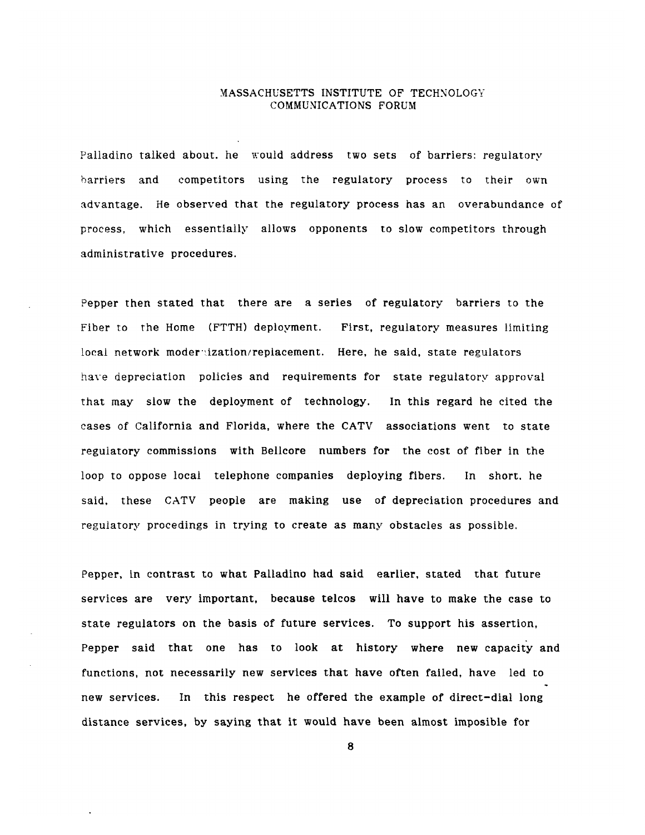Palladino talked about. he would address two sets of barriers: regulatory barriers and competitors using the regulatory process to their own advantage. He observed that the regulatory process has an overabundance of process, which essentially allows opponents to slow competitors through administrative procedures.

Pepper then stated that there are a series of regulatory barriers to the Fiber to the Home (FTTH) deployment. First, regulatory measures limiting local network moder-ization/replacement. Here, he said, state regulators have depreciation policies and requirements for state regulatory approval that may slow the deployment of technology. In this regard he cited the cases of California and Florida, where the CATV associations went to state regulatory commissions with Bellcore numbers for the cost of fiber in the loop to oppose local telephone companies deploying fibers. In short, he said, these CATV people are making use of depreciation procedures and regulatory procedings in trying to create as many obstacles as possible.

Pepper, in contrast to what Palladino had said earlier, stated that future services are very important, because telcos will have to make the case to state regulators on the basis of future services. To support his assertion, Pepper said that one has to look at history where new capacity and functions, not necessarily new services that have often failed, have led to new services. In this respect he offered the example of direct-dial long distance services, by saying that it would have been almost imposible for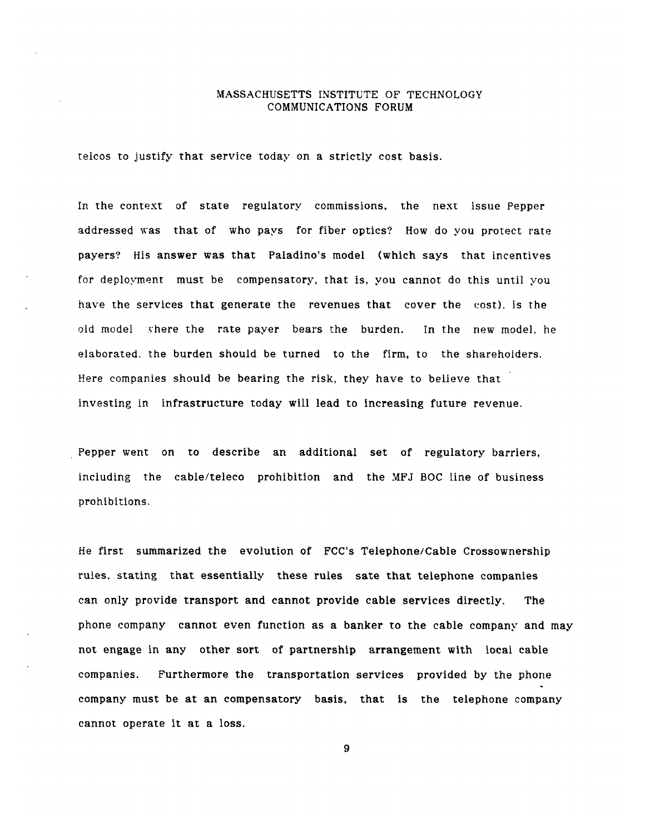telcos to justify that service today on a strictly cost basis.

In the context of state regulatory commissions, the next issue Pepper addressed was that of who pays for fiber optics? How do you protect rate payers? His answer was that Paladino's model (which says that incentives for deployment must be compensatory, that is, you cannot do this until you have the services that generate the revenues that cover the cost). is the old model where the rate payer bears the burden. In the new model, he elaborated. the burden should be turned to the firm, to the shareholders. Here companies should be bearing the risk, they have to believe that investing in infrastructure today will lead to increasing future revenue.

Pepper went on to describe an additional set of regulatory barriers, including the cable/teleco prohibition and the MFJ BOC line of business prohibitions.

He first summarized the evolution of FCC's Telephone/Cable Crossownership rules, stating that essentially these rules sate that telephone companies can only provide transport and cannot provide cable services directly. The phone company cannot even function as a banker to the cable company and may not engage in any other sort of partnership arrangement with local cable companies. Furthermore the transportation services provided by the phone company must be at an compensatory basis, that is the telephone company cannot operate it at a loss.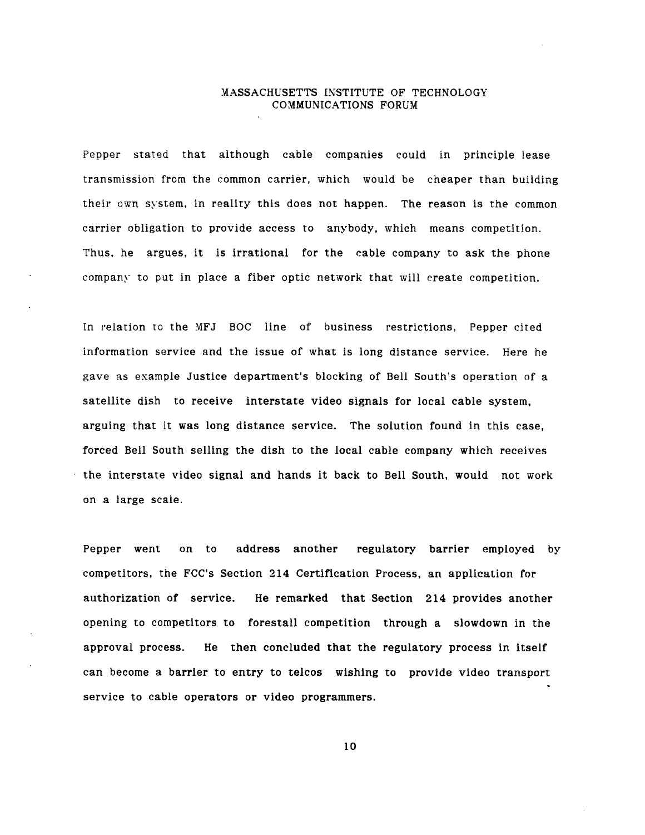Pepper stated that although cable companies could in principle lease transmission from the common carrier, which would be cheaper than building their own system, in reality this does not happen. The reason is the common carrier obligation to provide access to anybody, which means competition. Thus. he argues, it is irrational for the cable company to ask the phone company to put in place a fiber optic network that will create competition.

In relation to the MFJ BOC line of business restrictions, Pepper cited information service and the issue of what is long distance service. Here he gave as example Justice department's blocking of Bell South's operation of a satellite dish to receive interstate video signals for local cable system, arguing that it was long distance service. The solution found in this case, forced Bell South selling the dish to the local cable company which receives the interstate video signal and hands it back to Bell South, would not work on a large scale.

Pepper went on to address another regulatory barrier employed by competitors, the FCC's Section 214 Certification Process, an application for authorization of service. He remarked that Section 214 provides another opening to competitors to forestall competition through a slowdown in the approval process. He then concluded that the regulatory process in itself can become a barrier to entry to telcos wishing to provide video transport service to cable operators or video programmers.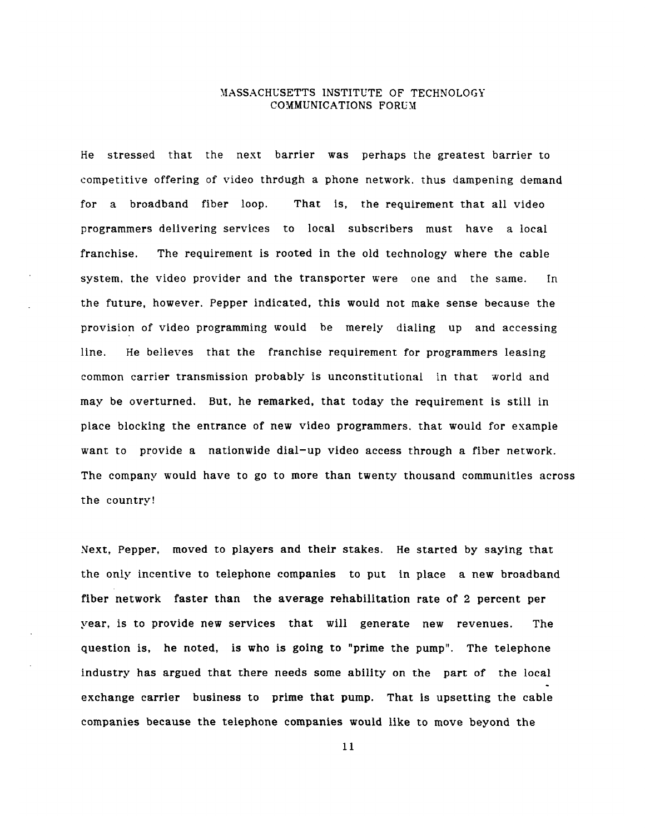He stressed that the next barrier was perhaps the greatest barrier to competitive offering of video thrdugh a phone network. thus dampening demand for a broadband fiber loop. That is, the requirement that all video programmers delivering services to local subscribers must have a local franchise. The requirement is rooted in the old technology where the cable system, the video provider and the transporter were one and the same. In the future, however. Pepper indicated, this would not make sense because the provision of video programming would be merely dialing up and accessing line. He believes that the franchise requirement for programmers leasing common carrier transmission probably is unconstitutional in that world and may be overturned. But, he remarked, that today the requirement is still in place blocking the entrance of new video programmers. that would for example want to provide a nationwide dial-up video access through a fiber network. The company would have to go to more than twenty thousand communities across the country!

Next, Pepper, moved to players and their stakes. He started by saying that the only incentive to telephone companies to put in place a new broadband fiber network faster than the average rehabilitation rate of 2 percent per year, is to provide new services that will generate new revenues. The question is, he noted, is who is going to "prime the pump". The telephone industry has argued that there needs some ability on the part of the local exchange carrier business to prime that pump. That is upsetting the cable companies because the telephone companies would like to move beyond the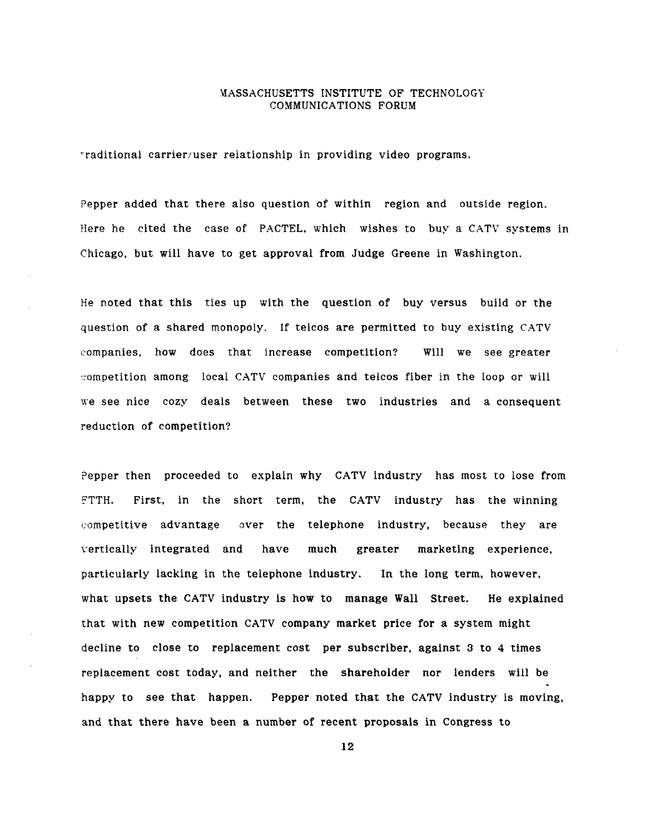'raditional carrier/user relationship in providing video programs.

Pepper added that there also question of within region and outside region. Here he cited the case of PACTEL, which wishes to buy a CATV systems in Chicago, but will have to get approval from Judge Greene in Washington.

He noted that this ties up with the question of buy versus build or the question of a shared monopoly. If telcos are permitted to buy existing CATV companies, how does that increase competition? Will we see greater competition among local CATV companies and telcos fiber in the loop or will we see nice cozy deals between these two industries and a consequent reduction of competition?

Pepper then proceeded to explain why CATV industry has most to lose from FTTH. First, in the short term, the CATV industry has the winning competitive advantage over the telephone industry, because they are vertically integrated and have much greater marketing experience, particularly lacking in the telephone industry. In the long term, however, what upsets the CATV industry is how to manage Wall Street. He explained that with new competition CATV company market price for a system might decline to close to replacement cost per subscriber, against 3 to 4 times replacement cost today, and neither the shareholder nor lenders will be happy to see that happen. Pepper noted that the CATV industry is moving, and that there have been a number of recent proposals in Congress to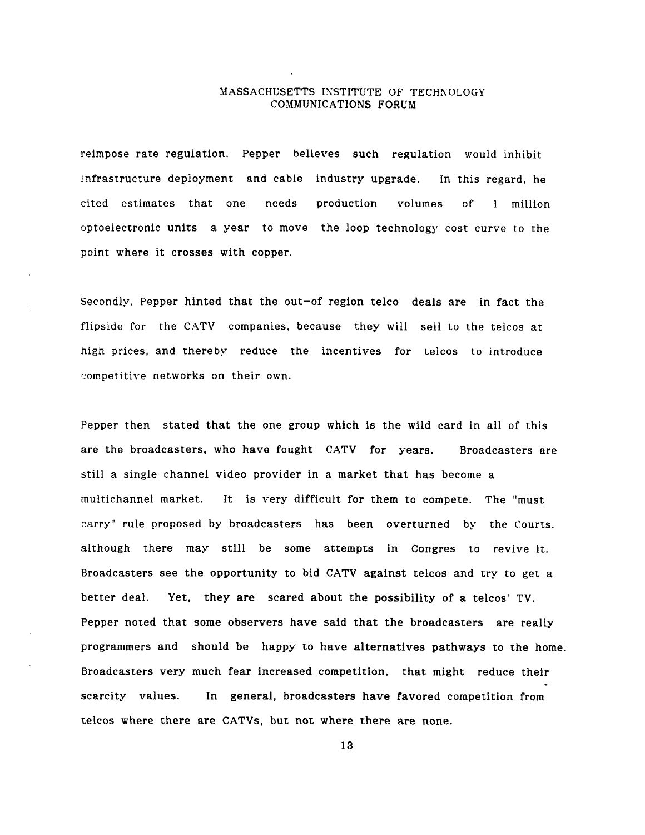reimpose rate regulation. Pepper believes such regulation would inhibit infrastructure deployment and cable industry upgrade. In this regard, he cited estimates that one needs production volumes of 1 million optoelectronic units a year to move the loop technology cost curve to the point where it crosses with copper.

Secondly. Pepper hinted that the out-of region telco deals are in fact the flipside for the **CATV** companies, because they will sell to the teicos at high prices, and thereby reduce the incentives for telcos to introduce competitive networks on their own.

Pepper then stated that the one group which is the wild card in all of this are the broadcasters, who have fought **CATV** for years. Broadcasters are still a single channel video provider in a market that has become a multichannel market. It is very difficult for them to compete. The "must carry" rule proposed **by** broadcasters has been overturned by the Courts, although there may still be some attempts in Congres to revive it. Broadcasters see the opportunity to bid **CATV** against telcos and try to get a better deal. Yet, they are scared about the possibility of a telcos' TV. Pepper noted that some observers have said that the broadcasters are really programmers and should be happy to have alternatives pathways to the home. Broadcasters very much fear increased competition, that might reduce their scarcity values. In general, broadcasters have favored competition from telcos where there are CATVs, but not where there are none.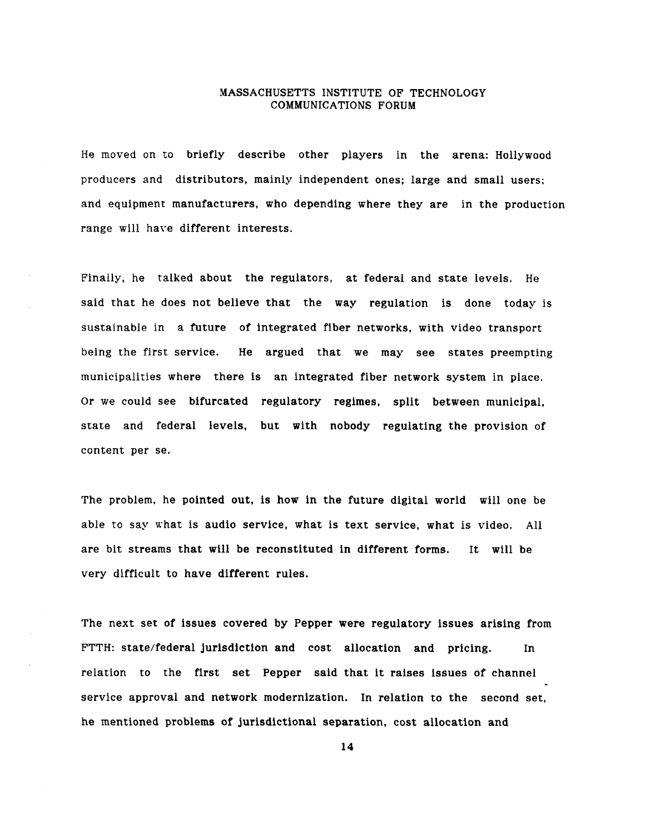He moved on to briefly describe other players in the arena: Hollywood producers and distributors, mainly independent ones; large and small users; and equipment manufacturers, who depending where they are in the production range will have different interests.

Finally, he talked about the regulators, at federal and state levels. He said that he does not believe that the way regulation is done today is sustainable in a future of integrated fiber networks, with video transport being the first service. He argued that we may see states preempting municipalities where there is an integrated fiber network system in place. Or we could see bifurcated regulatory regimes, split between municipal, state and federal levels, but with nobody regulating the provision of content per se.

The problem, he pointed out, is how in the future digital world will one be able to say what is audio service, what is text service, what is video. All are bit streams that will be reconstituted in different forms. It will be very difficult to have different rules.

The next set of issues covered by Pepper were regulatory issues arising from FTTH: state/federal jurisdiction and cost allocation and pricing. In relation to the first set Pepper said that it raises issues of channel service approval and network modernization. In relation to the second set, he mentioned problems of jurisdictional separation, cost allocation and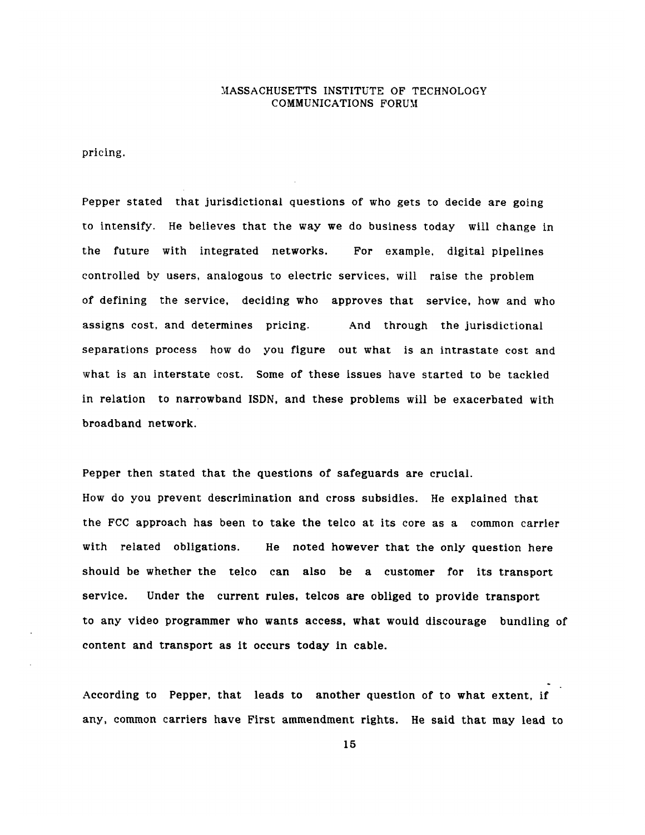pricing.

Pepper stated that jurisdictional questions of who gets to decide are going to intensify. He believes that the way we do business today will change in the future with integrated networks. For example, digital pipelines controlled by users, analogous to electric services, will raise the problem of defining the service, deciding who approves that service, how and who assigns cost, and determines pricing. And through the jurisdictional separations process how do you figure out what is an intrastate cost and what is an interstate cost. Some of these issues have started to be tackled in relation to narrowband ISDN, and these problems will be exacerbated with broadband network.

Pepper then stated that the questions of safeguards are crucial. How do you prevent descrimination and cross subsidies. He explained that the FCC approach has been to take the telco at its core as a common carrier with related obligations. He noted however that the only question here should be whether the telco can also be a customer for its transport service. Under the current rules, telcos are obliged to provide transport to any video programmer who wants access, what would discourage bundling of content and transport as it occurs today in cable.

According to Pepper, that leads to another question of to what extent, if any, common carriers have First ammendment rights. He said that may lead to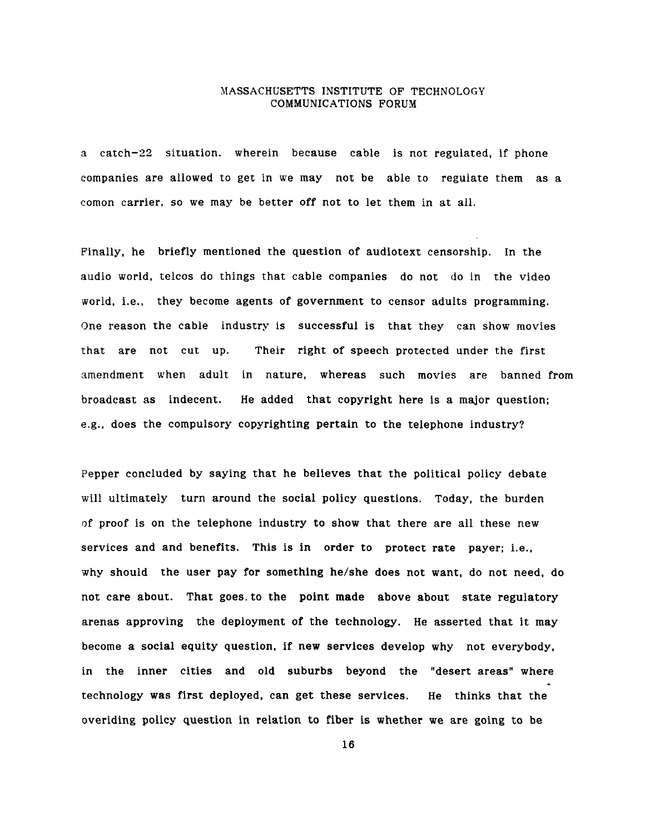a catch-22 situation. wherein because cable is not regulated, if phone companies are allowed to get in we may not be able to regulate them as a comon carrier, so we may be better off not to let them in at all.

Finally, he briefly mentioned the question of audiotext censorship. In the audio world, telcos do things that cable companies do not do in the video world, i.e., they become agents of government to censor adults programming. One reason the cable industry is successful is that they can show movies that are not cut up. Their right of speech protected under the first amendment when adult in nature, whereas such movies are banned from broadcast as indecent. He added that copyright here is a major question; e.g., does the compulsory copyrighting pertain to the telephone industry?

Pepper concluded by saying that he believes that the political policy debate will ultimately turn around the social policy questions. Today, the burden of proof is on the telephone industry to show that there are all these new services and and benefits. This is in order to protect rate payer; i.e., why should the user pay for something he/she does not want, do not need, do not care about. That goes. to the point made above about state regulatory arenas approving the deployment of the technology. He asserted that it may become a social equity question, if new services develop why not everybody, in the inner cities and old suburbs beyond the "desert areas" where technology was first deployed, can get these services. He thinks that the overiding policy question in relation to fiber is whether we are going to be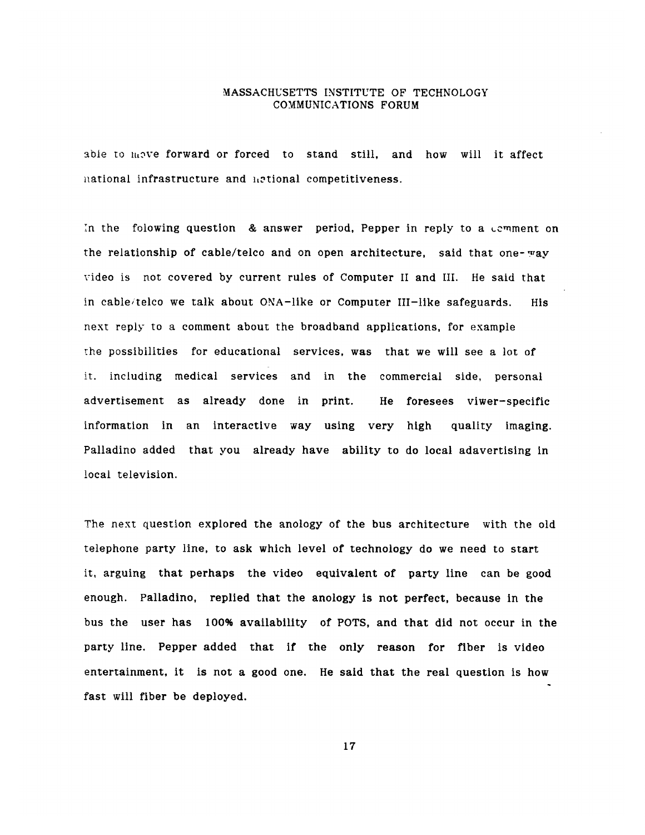able to move forward or forced to stand still, and how will it affect national infrastructure and netional competitiveness.

In the folowing question  $\&$  answer period, Pepper in reply to a comment on the relationship of cable/telco and on open architecture, said that one-way video is not covered by current rules of Computer II and III. He said that in cable/telco we talk about ONA-like or Computer III-like safeguards. His next reply to a comment about the broadband applications, for example the possibilities for educational services, was that we will see a lot of it. including medical services and in the commercial side, personal advertisement as already done in print. He foresees viwer-specific information in an interactive way using very high quality imaging. Palladino added that you already have ability to do local adavertising in local television.

The next question explored the anology of the bus architecture with the old telephone party line, to ask which level of technology do we need to start it, arguing that perhaps the video equivalent of party line can be good enough. Palladino, replied that the anology is not perfect, because in the bus the user has 100% availability of POTS, and that did not occur in the party line. Pepper added that if the only reason for fiber is video entertainment, it is not a good one. He said that the real question is how fast will fiber be deployed.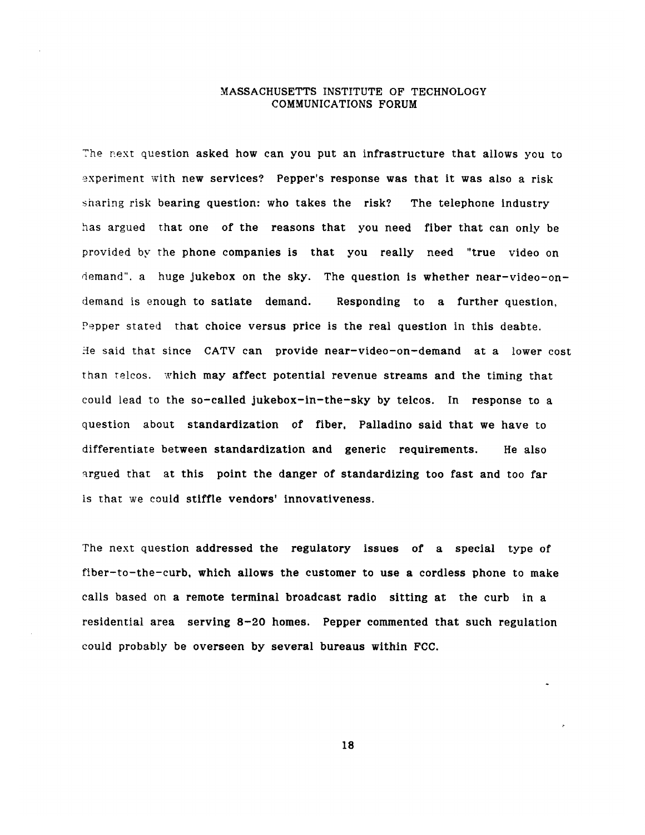The rext question asked how can you put an infrastructure that allows you to experiment with new services? Pepper's response was that it was also a risk sharing risk bearing question: who takes the risk? The telephone industry has argued that one of the reasons that you need fiber that can only be provided by the phone companies is that you really need "true video on demand". a huge jukebox on the sky. The question is whether near-video-ondemand is enough to satiate demand. Responding to a further question, Pepper stated that choice versus price is the real question in this deabte. He said that since CATV can provide near-video-on-demand at a lower cost than telcos. which may affect potential revenue streams and the timing that could lead to the so-called jukebox-in-the-sky by telcos. In response to a question about standardization of fiber, Palladino said that we have to differentiate between standardization and generic requirements. He also argued that at this point the danger of standardizing too fast and too far is that we could stiffle vendors' innovativeness.

The next question addressed the regulatory issues of a special type of fiber-to-the-curb, which allows the customer to use a cordless phone to make calls based on a remote terminal broadcast radio sitting at the curb in a residential area serving 8-20 homes. Pepper commented that such regulation could probably be overseen by several bureaus within FCC.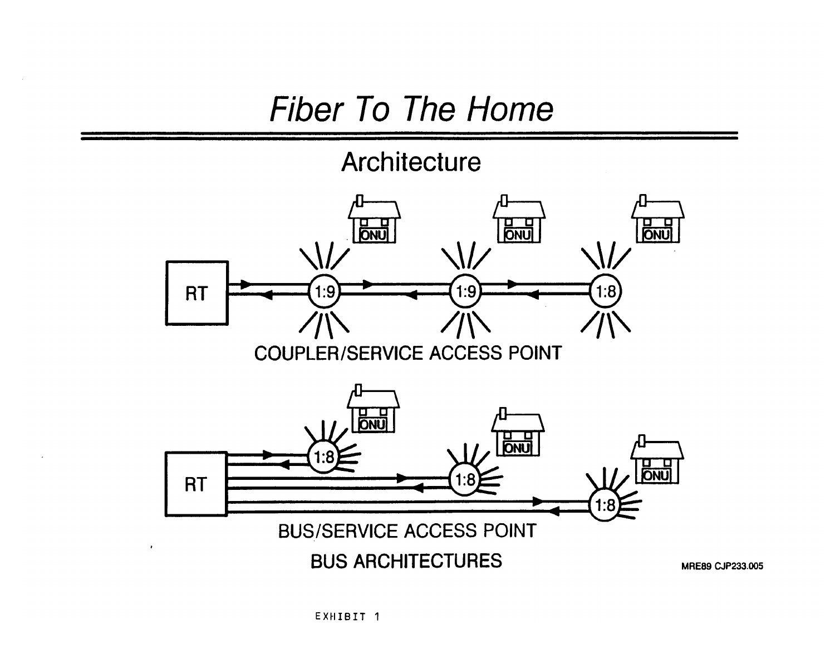## Fiber *To* The *Home*

## Architecture



 $\epsilon$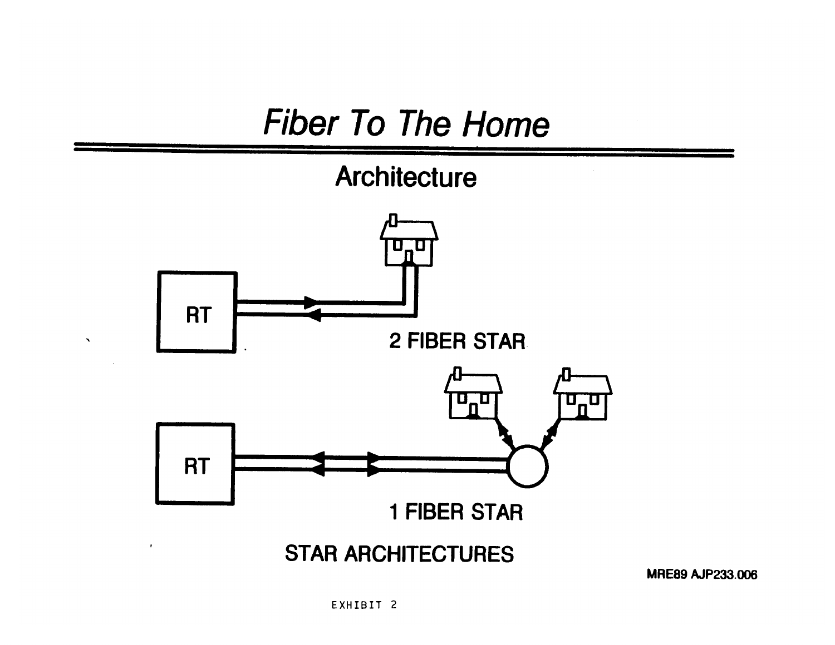# Fiber To The Home

**Architecture**



**MRE89 AJP233.006**